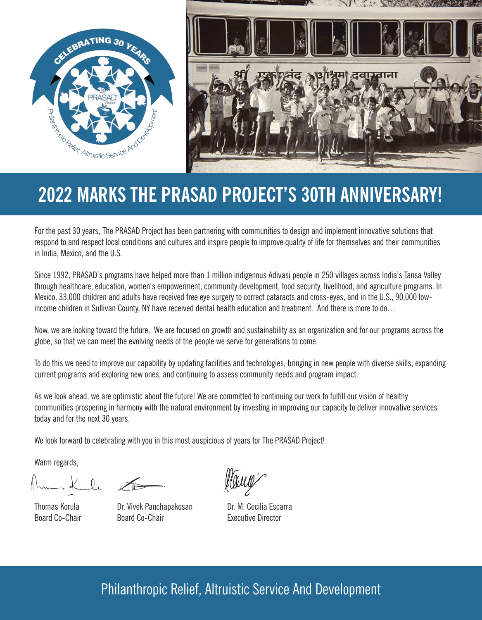

# **2022 MARKS THE PRASAD PROJECT'S 30TH ANNIVERSARY!**

For the past 30 years, The PRASAD Project has been partnering with communities to design and implement innovative solutions that respond to and respect local conditions and cultures and inspire people to improve quality of life for themselves and their communities in India, Mexico, and the U.S.

Since 1992, PRASAD's programs have helped more than 1 million indigenous Adivasi people in 250 villages across India's Tansa Valley through healthcare, education, women's empowerment, community development, food security, livelihood, and agriculture programs. In Mexico, 33,000 children and adults have received free eye surgery to correct cataracts and cross-eyes, and in the U.S., 90,000 lowincome children in Sullivan County, NY have received dental health education and treatment. And there is more to do…

Now, we are looking toward the future. We are focused on growth and sustainability as an organization and for our programs across the globe, so that we can meet the evolving needs of the people we serve for generations to come.

To do this we need to improve our capability by updating facilities and technologies, bringing in new people with diverse skills, expanding current programs and exploring new ones, and continuing to assess community needs and program impact.

As we look ahead, we are optimistic about the future! We are committed to continuing our work to fulfill our vision of healthy communities prospering in harmony with the natural environment by investing in improving our capacity to deliver innovative services today and for the next 30 years.

We look forward to celebrating with you in this most auspicious of years for The PRASAD Project!

Warm regards,

Thomas Korula Dr. Vivek Panchapakesan Dr. M. Cecilia Escarra Board Co-Chair **Board Co-Chair** Executive Director

## Philanthropic Relief, Altruistic Service And Development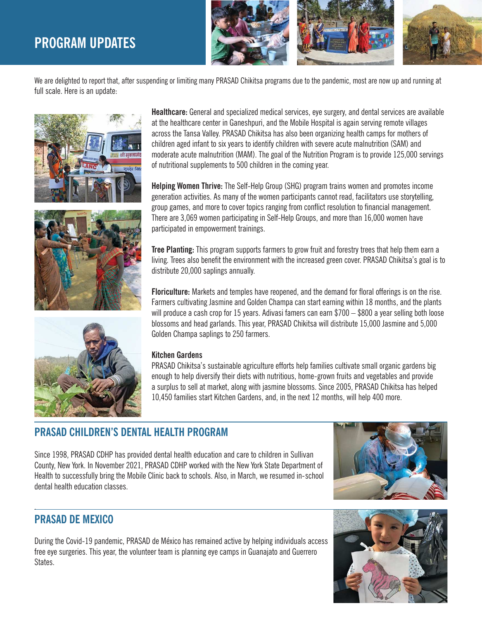## **PROGRAM UPDATES**



We are delighted to report that, after suspending or limiting many PRASAD Chikitsa programs due to the pandemic, most are now up and running at full scale. Here is an update:







**Healthcare:** General and specialized medical services, eye surgery, and dental services are available at the healthcare center in Ganeshpuri, and the Mobile Hospital is again serving remote villages across the Tansa Valley. PRASAD Chikitsa has also been organizing health camps for mothers of children aged infant to six years to identify children with severe acute malnutrition (SAM) and moderate acute malnutrition (MAM). The goal of the Nutrition Program is to provide 125,000 servings of nutritional supplements to 500 children in the coming year.

**Helping Women Thrive:** The Self-Help Group (SHG) program trains women and promotes income generation activities. As many of the women participants cannot read, facilitators use storytelling, group games, and more to cover topics ranging from conflict resolution to financial management. There are 3,069 women participating in Self-Help Groups, and more than 16,000 women have participated in empowerment trainings.

**Tree Planting:** This program supports farmers to grow fruit and forestry trees that help them earn a living. Trees also benefit the environment with the increased green cover. PRASAD Chikitsa's goal is to distribute 20,000 saplings annually.

**Floriculture:** Markets and temples have reopened, and the demand for floral offerings is on the rise. Farmers cultivating Jasmine and Golden Champa can start earning within 18 months, and the plants will produce a cash crop for 15 years. Adivasi famers can earn \$700 – \$800 a year selling both loose blossoms and head garlands. This year, PRASAD Chikitsa will distribute 15,000 Jasmine and 5,000 Golden Champa saplings to 250 farmers.

#### **Kitchen Gardens**

PRASAD Chikitsa's sustainable agriculture efforts help families cultivate small organic gardens big enough to help diversify their diets with nutritious, home-grown fruits and vegetables and provide a surplus to sell at market, along with jasmine blossoms. Since 2005, PRASAD Chikitsa has helped 10,450 families start Kitchen Gardens, and, in the next 12 months, will help 400 more.

## **PRASAD CHILDREN'S DENTAL HEALTH PROGRAM**

Since 1998, PRASAD CDHP has provided dental health education and care to children in Sullivan County, New York. In November 2021, PRASAD CDHP worked with the New York State Department of Health to successfully bring the Mobile Clinic back to schools. Also, in March, we resumed in-school dental health education classes.



## **PRASAD DE MEXICO**

.

During the Covid-19 pandemic, PRASAD de México has remained active by helping individuals access free eye surgeries. This year, the volunteer team is planning eye camps in Guanajato and Guerrero States.

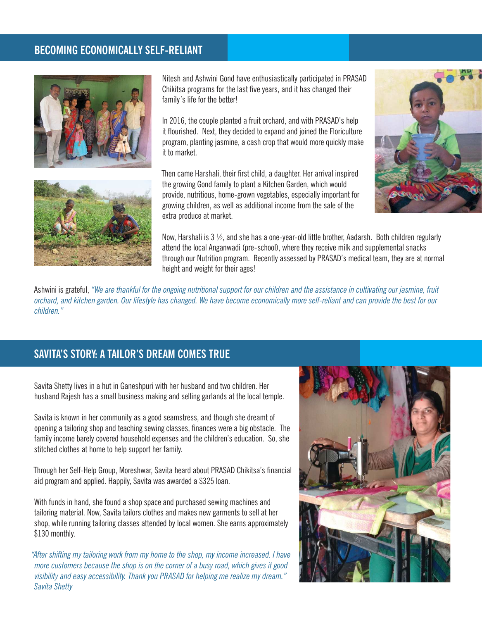## **BECOMING ECONOMICALLY SELF-RELIANT**



Nitesh and Ashwini Gond have enthusiastically participated in PRASAD Chikitsa programs for the last five years, and it has changed their family's life for the better!

In 2016, the couple planted a fruit orchard, and with PRASAD's help it flourished. Next, they decided to expand and joined the Floriculture program, planting jasmine, a cash crop that would more quickly make it to market.

Then came Harshali, their first child, a daughter. Her arrival inspired the growing Gond family to plant a Kitchen Garden, which would provide, nutritious, home-grown vegetables, especially important for growing children, as well as additional income from the sale of the extra produce at market.





Now, Harshali is 3 ½, and she has a one-year-old little brother, Aadarsh. Both children regularly attend the local Anganwadi (pre-school), where they receive milk and supplemental snacks through our Nutrition program. Recently assessed by PRASAD's medical team, they are at normal height and weight for their ages!

Ashwini is grateful, *"We are thankful for the ongoing nutritional support for our children and the assistance in cultivating our jasmine, fruit orchard, and kitchen garden. Our lifestyle has changed. We have become economically more self-reliant and can provide the best for our children."*

## **SAVITA'S STORY: A TAILOR'S DREAM COMES TRUE**

Savita Shetty lives in a hut in Ganeshpuri with her husband and two children. Her husband Rajesh has a small business making and selling garlands at the local temple.

Savita is known in her community as a good seamstress, and though she dreamt of opening a tailoring shop and teaching sewing classes, finances were a big obstacle. The family income barely covered household expenses and the children's education. So, she stitched clothes at home to help support her family.

Through her Self-Help Group, Moreshwar, Savita heard about PRASAD Chikitsa's financial aid program and applied. Happily, Savita was awarded a \$325 loan.

With funds in hand, she found a shop space and purchased sewing machines and tailoring material. Now, Savita tailors clothes and makes new garments to sell at her shop, while running tailoring classes attended by local women. She earns approximately \$130 monthly.

*"After shifting my tailoring work from my home to the shop, my income increased. I have more customers because the shop is on the corner of a busy road, which gives it good visibility and easy accessibility. Thank you PRASAD for helping me realize my dream." Savita Shetty*